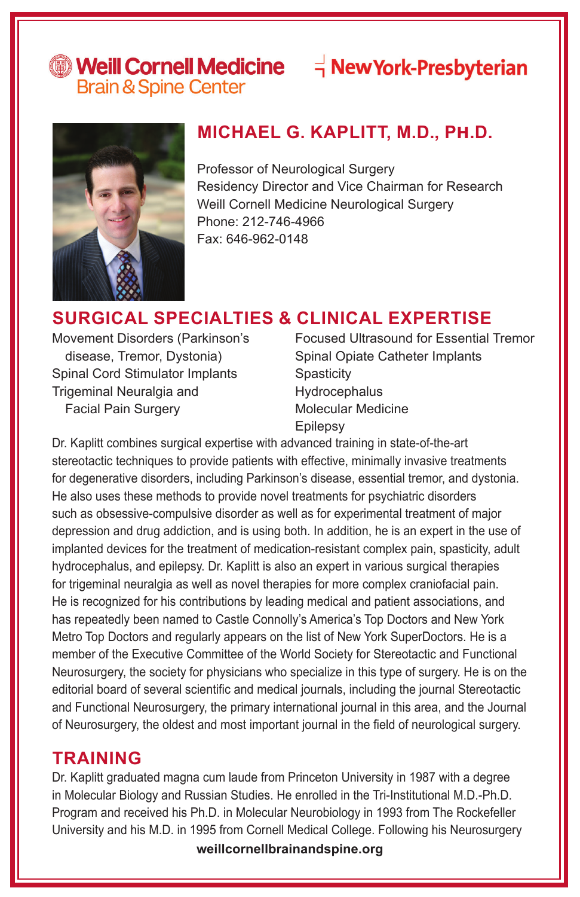# Weill Cornell Medicine = - New York-Presbyterian

**Brain & Spine Center** 



### **MICHAEL G. KAPLITT, M.D., Ph.D.**

Professor of Neurological Surgery Residency Director and Vice Chairman for Research Weill Cornell Medicine Neurological Surgery Phone: 212-746-4966 Fax: 646-962-0148

### **SURGICAL SPECIALTIES & CLINICAL EXPERTISE**

Movement Disorders (Parkinson's disease, Tremor, Dystonia) Spinal Cord Stimulator Implants Trigeminal Neuralgia and Facial Pain Surgery

Focused Ultrasound for Essential Tremor Spinal Opiate Catheter Implants **Spasticity** Hydrocephalus Molecular Medicine Epilepsy

Dr. Kaplitt combines surgical expertise with advanced training in state-of-the-art stereotactic techniques to provide patients with effective, minimally invasive treatments for degenerative disorders, including Parkinson's disease, essential tremor, and dystonia. He also uses these methods to provide novel treatments for psychiatric disorders such as obsessive-compulsive disorder as well as for experimental treatment of major depression and drug addiction, and is using both. In addition, he is an expert in the use of implanted devices for the treatment of medication-resistant complex pain, spasticity, adult hydrocephalus, and epilepsy. Dr. Kaplitt is also an expert in various surgical therapies for trigeminal neuralgia as well as novel therapies for more complex craniofacial pain. He is recognized for his contributions by leading medical and patient associations, and has repeatedly been named to Castle Connolly's America's Top Doctors and New York Metro Top Doctors and regularly appears on the list of New York SuperDoctors. He is a member of the Executive Committee of the World Society for Stereotactic and Functional Neurosurgery, the society for physicians who specialize in this type of surgery. He is on the editorial board of several scientific and medical journals, including the journal Stereotactic and Functional Neurosurgery, the primary international journal in this area, and the Journal of Neurosurgery, the oldest and most important journal in the field of neurological surgery.

#### **TRAINING**

Dr. Kaplitt graduated magna cum laude from Princeton University in 1987 with a degree in Molecular Biology and Russian Studies. He enrolled in the Tri-Institutional M.D.-Ph.D. Program and received his Ph.D. in Molecular Neurobiology in 1993 from The Rockefeller University and his M.D. in 1995 from Cornell Medical College. Following his Neurosurgery

**weillcornellbrainandspine.org**